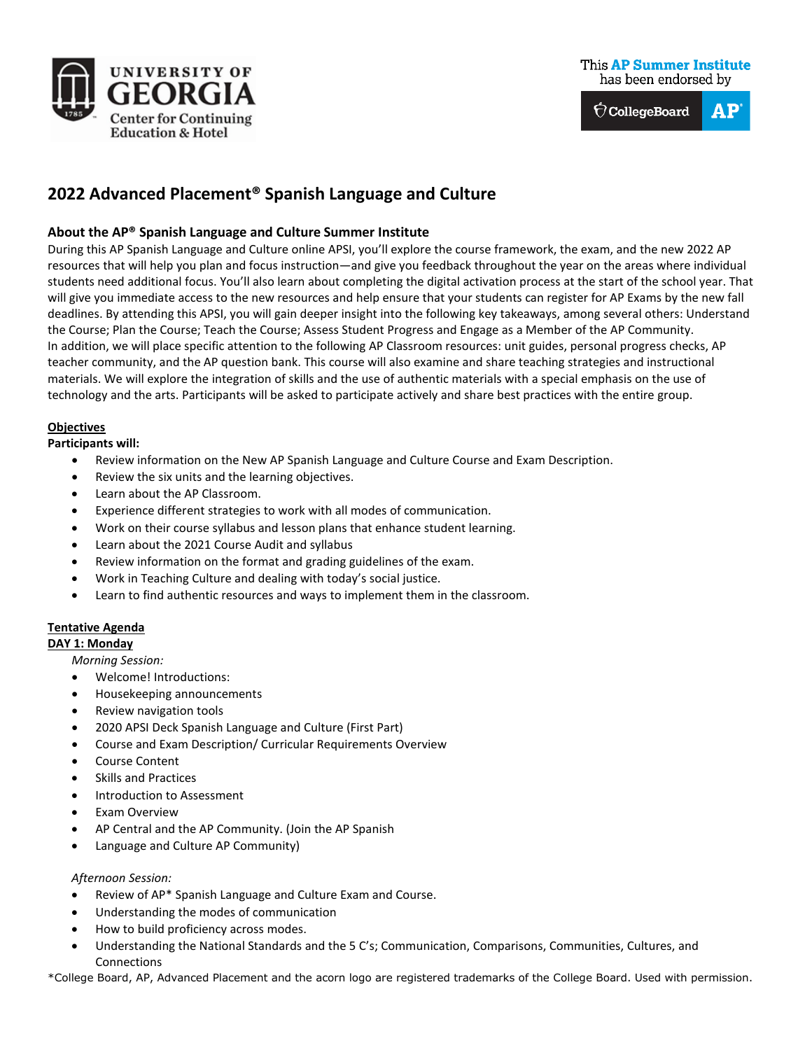

# **This AP Summer Institute** has been endorsed by

 $\hat{\nabla}$ CollegeBoard  $\mathbf{A}\mathbf{P}$ 

# **2022 Advanced Placement® Spanish Language and Culture**

# **About the AP® Spanish Language and Culture Summer Institute**

During this AP Spanish Language and Culture online APSI, you'll explore the course framework, the exam, and the new 2022 AP resources that will help you plan and focus instruction—and give you feedback throughout the year on the areas where individual students need additional focus. You'll also learn about completing the digital activation process at the start of the school year. That will give you immediate access to the new resources and help ensure that your students can register for AP Exams by the new fall deadlines. By attending this APSI, you will gain deeper insight into the following key takeaways, among several others: Understand the Course; Plan the Course; Teach the Course; Assess Student Progress and Engage as a Member of the AP Community. In addition, we will place specific attention to the following AP Classroom resources: unit guides, personal progress checks, AP teacher community, and the AP question bank. This course will also examine and share teaching strategies and instructional materials. We will explore the integration of skills and the use of authentic materials with a special emphasis on the use of technology and the arts. Participants will be asked to participate actively and share best practices with the entire group.

## **Objectives**

**Participants will:**

- Review information on the New AP Spanish Language and Culture Course and Exam Description.
- Review the six units and the learning objectives.
- Learn about the AP Classroom.
- Experience different strategies to work with all modes of communication.
- Work on their course syllabus and lesson plans that enhance student learning.
- Learn about the 2021 Course Audit and syllabus
- Review information on the format and grading guidelines of the exam.
- Work in Teaching Culture and dealing with today's social justice.
- Learn to find authentic resources and ways to implement them in the classroom.

# **Tentative Agenda**

**DAY 1: Monday**

*Morning Session:*

- Welcome! Introductions:
- Housekeeping announcements
- Review navigation tools
- 2020 APSI Deck Spanish Language and Culture (First Part)
- Course and Exam Description/ Curricular Requirements Overview
- Course Content
- Skills and Practices
- Introduction to Assessment
- **Exam Overview**
- AP Central and the AP Community. (Join the AP Spanish
- Language and Culture AP Community)

## *Afternoon Session:*

- Review of AP\* Spanish Language and Culture Exam and Course.
- Understanding the modes of communication
- How to build proficiency across modes.
- Understanding the National Standards and the 5 C's; Communication, Comparisons, Communities, Cultures, and Connections

\*College Board, AP, Advanced Placement and the acorn logo are registered trademarks of the College Board. Used with permission.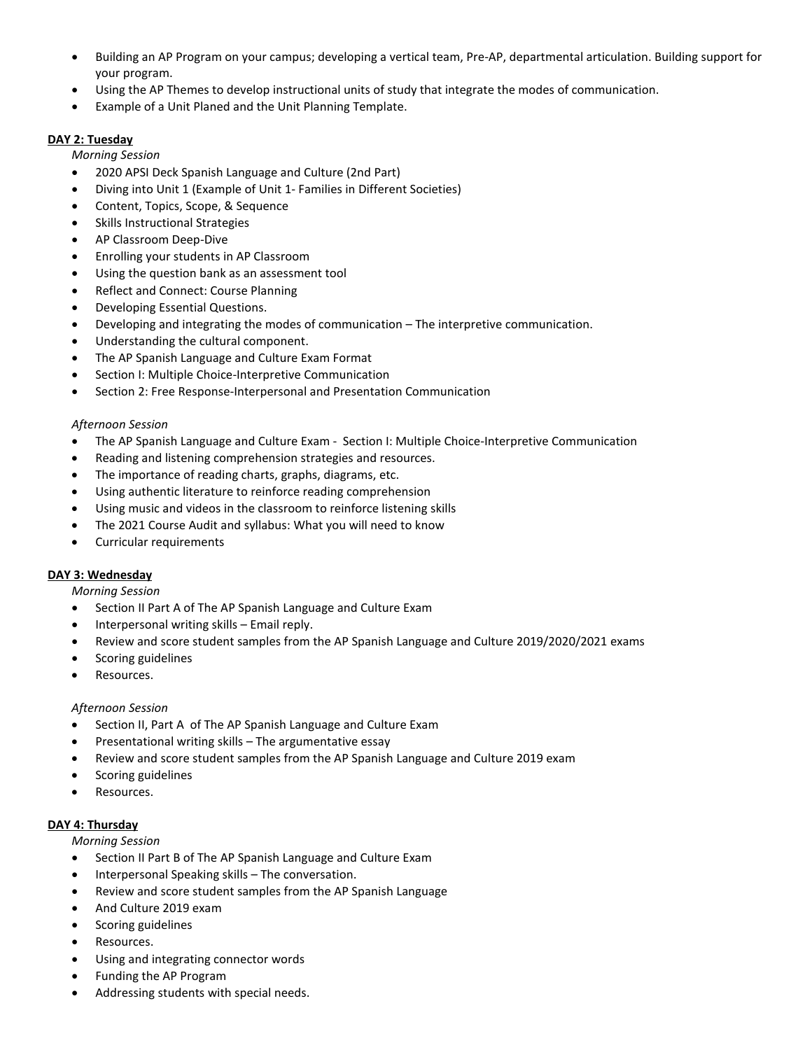- Building an AP Program on your campus; developing a vertical team, Pre-AP, departmental articulation. Building support for your program.
- Using the AP Themes to develop instructional units of study that integrate the modes of communication.
- Example of a Unit Planed and the Unit Planning Template.

# **DAY 2: Tuesday**

*Morning Session*

- 2020 APSI Deck Spanish Language and Culture (2nd Part)
- Diving into Unit 1 (Example of Unit 1- Families in Different Societies)
- Content, Topics, Scope, & Sequence
- Skills Instructional Strategies
- AP Classroom Deep-Dive
- Enrolling your students in AP Classroom
- Using the question bank as an assessment tool
- Reflect and Connect: Course Planning
- Developing Essential Questions.
- Developing and integrating the modes of communication The interpretive communication.
- Understanding the cultural component.
- The AP Spanish Language and Culture Exam Format
- Section I: Multiple Choice-Interpretive Communication
- Section 2: Free Response-Interpersonal and Presentation Communication

## *Afternoon Session*

- The AP Spanish Language and Culture Exam Section I: Multiple Choice-Interpretive Communication
- Reading and listening comprehension strategies and resources.
- The importance of reading charts, graphs, diagrams, etc.
- Using authentic literature to reinforce reading comprehension
- Using music and videos in the classroom to reinforce listening skills
- The 2021 Course Audit and syllabus: What you will need to know
- Curricular requirements

## **DAY 3: Wednesday**

#### *Morning Session*

- Section II Part A of The AP Spanish Language and Culture Exam
- Interpersonal writing skills Email reply.
- Review and score student samples from the AP Spanish Language and Culture 2019/2020/2021 exams
- Scoring guidelines
- Resources.

## *Afternoon Session*

- Section II, Part A of The AP Spanish Language and Culture Exam
- Presentational writing skills The argumentative essay
- Review and score student samples from the AP Spanish Language and Culture 2019 exam
- Scoring guidelines
- Resources.

## **DAY 4: Thursday**

*Morning Session*

- Section II Part B of The AP Spanish Language and Culture Exam
- Interpersonal Speaking skills The conversation.
- Review and score student samples from the AP Spanish Language
- And Culture 2019 exam
- Scoring guidelines
- Resources.
- Using and integrating connector words
- Funding the AP Program
- Addressing students with special needs.